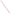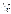# **Susquehanna River Basin Commission**



For a copy of the Susquehanna River Basin Commission 1994 305(b) report, contact:

**Robert E. Edwards** Susquehanna River Basin Commission Resource Quality Management and Protection 1721 North Front Street Harrisburg, PA 17102-0423 (717) 238-0423

### **Surface Water Quality**

The Susquehanna River drains 27,510 square miles from parts of New York, Pennsylvania, and Maryland, and delivers over half of the fresh water entering the Chesapeake Bay. The Susquehanna River Basin Commission (SRBC) surveyed 17,464 miles of the 31,193 miles of rivers and streams in the Susquehanna River Basin. Over 90% of the surveyed river miles fully support designated uses, 4% partially support uses, and 6% do not

support one or more designated uses. Metals, low pH, and nutrients are the primary causes of stream impacts in the Basin. Coal mine drainage is the source of most of the metals and pH problems degrading streams. Sources of nutrients include municipal and domestic wastewater discharges, agricultural runoff, and ground water inflow from agricultural areas.

During past reporting cycles, SRBC did not conduct any lake or reservoir assessments. However, a 2-year project funded by EPA and Pennsylvania should provide a foundation of lake data upon which SRBC can launch its lake assessment program.

#### **Ground Water Quality**

Ground water in the Basin is generally of adequate quality for most uses. Many of the ground water quality problems in the Basin are related to naturally dissolved constituents (such as iron, sulfate, and dissolved solids) from the geologic unit from which the water originates. The SRBC is concerned about ground water contamination from septic systems and agricultural activities.

#### **Programs to Restore Water Quality**

The Susquehanna River Basin Compact assigns primary responsibility for water quality management and control to the signatory States. The SRBC's role is to provide a